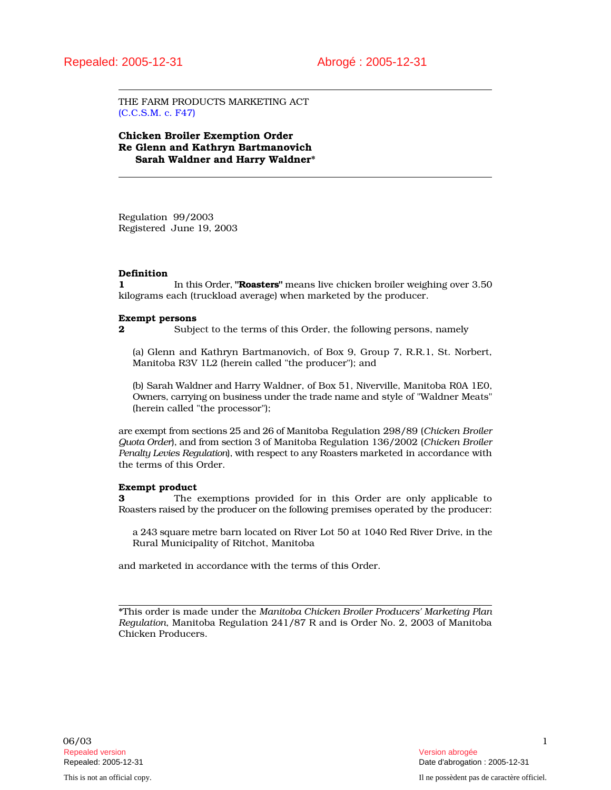THE FARM PRODUCTS MARKETING ACT (C.C.S.M. c. F47)

Chicken Broiler Exemption Order Re Glenn and Kathryn Bartmanovich Sarah Waldner and Harry Waldner\*

Regulation 99/2003 Registered June 19, 2003

#### Definition

1 In this Order, "Roasters" means live chicken broiler weighing over 3.50 kilograms each (truckload average) when marketed by the producer.

#### Exempt persons

2 Subject to the terms of this Order, the following persons, namely

(a) Glenn and Kathryn Bartmanovich, of Box 9, Group 7, R.R.1, St. Norbert, Manitoba R3V 1L2 (herein called "the producer"); and

(b) Sarah Waldner and Harry Waldner, of Box 51, Niverville, Manitoba R0A 1E0, Owners, carrying on business under the trade name and style of "Waldner Meats" (herein called "the processor");

are exempt from sections 25 and 26 of Manitoba Regulation 298/89 (*Chicken Broiler Quota Order*), and from section 3 of Manitoba Regulation 136/2002 (*Chicken Broiler Penalty Levies Regulation*), with respect to any Roasters marketed in accordance with the terms of this Order.

#### Exempt product

3 The exemptions provided for in this Order are only applicable to Roasters raised by the producer on the following premises operated by the producer:

a 243 square metre barn located on River Lot 50 at 1040 Red River Drive, in the Rural Municipality of Ritchot, Manitoba

and marketed in accordance with the terms of this Order.

\*This order is made under the *Manitoba Chicken Broiler Producers' Marketing Plan Regulation*, Manitoba Regulation 241/87 R and is Order No. 2, 2003 of Manitoba Chicken Producers.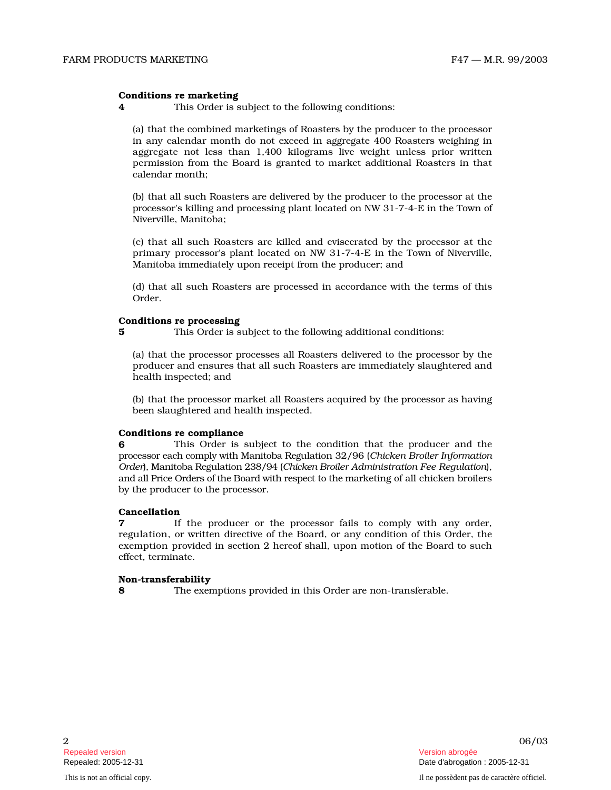## Conditions re marketing

4 This Order is subject to the following conditions:

(a) that the combined marketings of Roasters by the producer to the processor in any calendar month do not exceed in aggregate 400 Roasters weighing in aggregate not less than 1,400 kilograms live weight unless prior written permission from the Board is granted to market additional Roasters in that calendar month;

(b) that all such Roasters are delivered by the producer to the processor at the p r o cessor's killing and processing plant located on NW 31-7-4-E in the Town of Niverville, Manitoba;

(c) that all such Roasters are killed and eviscerated by the processor at the primary processor's plant located on NW 31-7-4-E in the Town of Niverville, Manitoba immediately upon receipt from the producer; and

(d) that all such Roasters are processed in accordance with the terms of this Order.

## Conditions re processing

5 This Order is subject to the following additional conditions:

(a) that the processor processes all Roasters delivered to the process or by t h e producer and ensures that all such Roasters are immediately slaughtered and health inspected; and

(b) that the processor market all Roasters acquired by the processor as having been slaughtered and health inspected.

# Conditions re compliance

**6** This Order is subject to the condition that the producer and the processor each comply with Manitoba Regulation 32/96 (Chicken Broiler Information Order), Manitoba Regulation 238/94 (Chicken Broiler Administration Fee Regulation), and all Price Orders of the Board with respect to the marketing of all chicken broilers by the producer to the processor.

## Cancellation

**7** If the producer or the processor fails to comply with any order, regulation, or written directive of the Board, or any condition of this Order, the exemption provided in section 2 hereof shall, upon motion of the Board to such effect, terminate.

## Non-transferability

8 The exemptions provided in this Order are non-transferable.